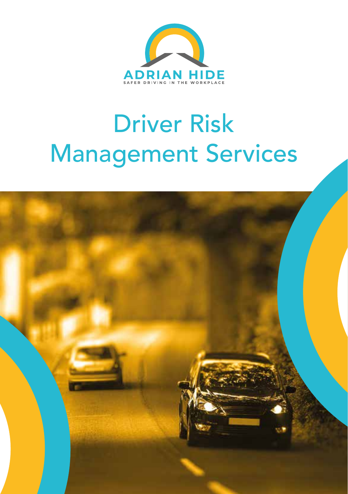

# Driver Risk Management Services

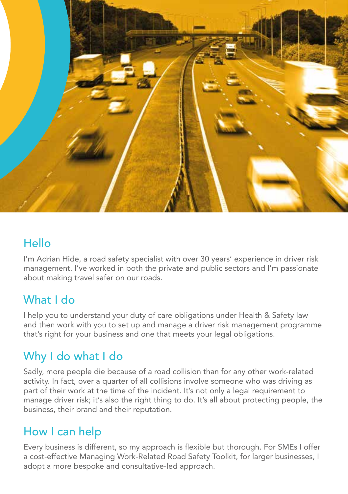

#### **Hello**

I'm Adrian Hide, a road safety specialist with over 30 years' experience in driver risk management. I've worked in both the private and public sectors and I'm passionate about making travel safer on our roads.

#### What I do

I help you to understand your duty of care obligations under Health & Safety law and then work with you to set up and manage a driver risk management programme that's right for your business and one that meets your legal obligations.

### Why I do what I do

Sadly, more people die because of a road collision than for any other work-related activity. In fact, over a quarter of all collisions involve someone who was driving as part of their work at the time of the incident. It's not only a legal requirement to manage driver risk; it's also the right thing to do. It's all about protecting people, the business, their brand and their reputation.

#### How I can help

Every business is different, so my approach is flexible but thorough. For SMEs I offer a cost-effective Managing Work-Related Road Safety Toolkit, for larger businesses, I adopt a more bespoke and consultative-led approach.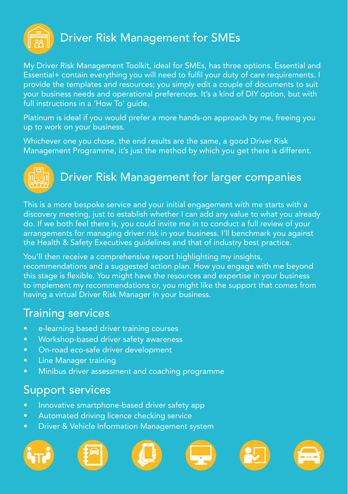

My Driver Risk Management Toolkit, ideal for SMEs, has three options. Essential and Essential+ contain everything you will need to fulfil your duty of care requirements. I provide the templates and resources; you simply edit a couple of documents to suit your business needs and operational preferences. It's a kind of DIY option, but with full instructions in a 'How To' guide.

Platinum is ideal if you would prefer a more hands-on approach by me, freeing you up to work on your business.

Whichever one you chose, the end results are the same, a good Driver Risk Management Programme, it's just the method by which you get there is different.



## Driver Risk Management for larger companies

This is a more bespoke service and your initial engagement with me starts with a discovery meeting, just to establish whether I can add any value to what you already do. If we both feel there is, you could invite me in to conduct a full review of your arrangements for managing driver risk in your business. I'll benchmark you against the Health & Safety Executives guidelines and that of industry best practice.

You'll then receive a comprehensive report highlighting my insights, recommendations and a suggested action plan. How you engage with me beyond this stage is flexible. You might have the resources and expertise in your business to implement my recommendations or, you might like the support that comes from having a virtual Driver Risk Manager in your business.

#### Training services

- e-learning based driver training courses
- Workshop-based driver safety awareness
- On-road eco-safe driver development
- Line Manager training
- Minibus driver assessment and coaching programme

#### Support services

- Innovative smartphone-based driver safety app
- Automated driving licence checking service
- Driver & Vehicle Information Management system